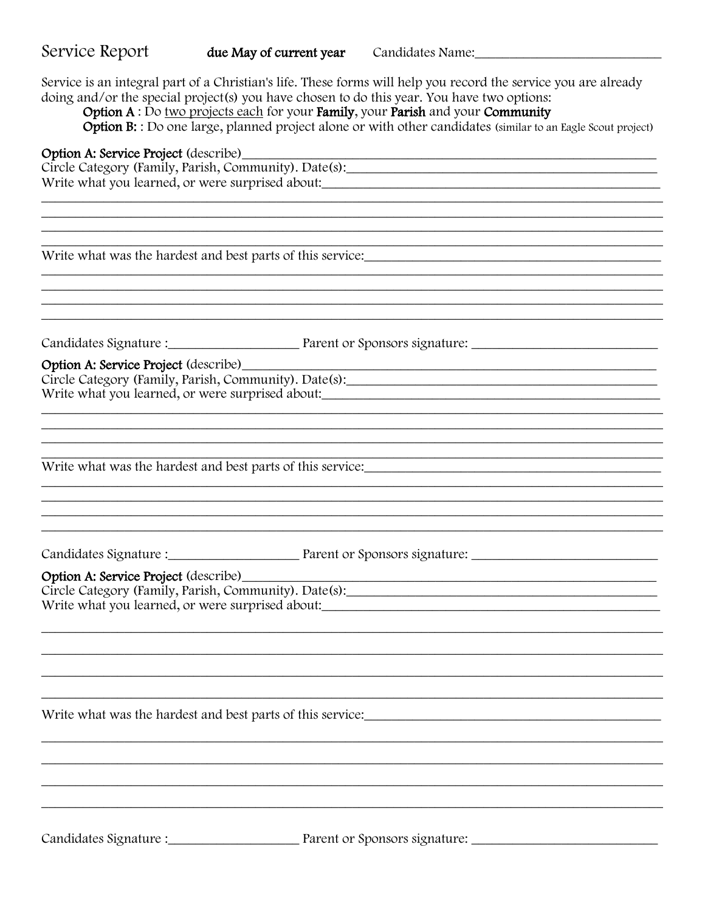Service is an integral part of a Christian's life. These forms will help you record the service you are already doing and/or the special project(s) you have chosen to do this year. You have two options:

Option A: Do two projects each for your Family, your Parish and your Community

Option B: : Do one large, planned project alone or with other candidates (similar to an Eagle Scout project)

## Option A: Service Project (describe)

Circle Category (Family, Parish, Community). Date(s): Write what you learned, or were surprised about:

Write what was the hardest and best parts of this service:

Candidates Signature : Parent or Sponsors signature:

Option A: Service Project (describe)\_

Circle Category (Family, Parish, Community). Date(s): Write what you learned, or were surprised about:

Write what was the hardest and best parts of this service:

Candidates Signature : Parent or Sponsors signature:

## Option A: Service Project (describe)

Circle Category (Family, Parish, Community). Date(s): 

Write what was the hardest and best parts of this service:

Candidates Signature : Parent or Sponsors signature: